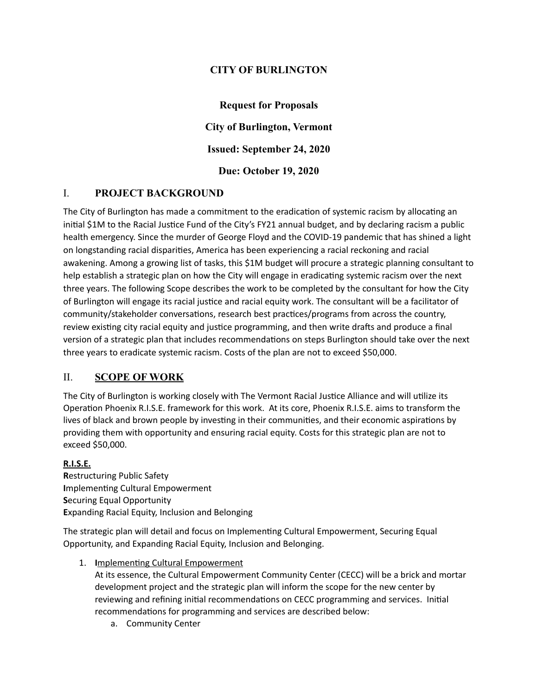### **CITY OF BURLINGTON**

**Request for Proposals City of Burlington, Vermont Issued: September 24, 2020 Due: October 19, 2020**

#### I. **PROJECT BACKGROUND**

The City of Burlington has made a commitment to the eradication of systemic racism by allocating an initial \$1M to the Racial Justice Fund of the City's FY21 annual budget, and by declaring racism a public health emergency. Since the murder of George Floyd and the COVID-19 pandemic that has shined a light on longstanding racial disparities, America has been experiencing a racial reckoning and racial awakening. Among a growing list of tasks, this \$1M budget will procure a strategic planning consultant to help establish a strategic plan on how the City will engage in eradicating systemic racism over the next three years. The following Scope describes the work to be completed by the consultant for how the City of Burlington will engage its racial justice and racial equity work. The consultant will be a facilitator of community/stakeholder conversations, research best practices/programs from across the country, review existing city racial equity and justice programming, and then write drafts and produce a final version of a strategic plan that includes recommendations on steps Burlington should take over the next three years to eradicate systemic racism. Costs of the plan are not to exceed \$50,000.

#### II. **SCOPE OF WORK**

The City of Burlington is working closely with The Vermont Racial Justice Alliance and will utilize its Operation Phoenix R.I.S.E. framework for this work. At its core, Phoenix R.I.S.E. aims to transform the lives of black and brown people by investing in their communities, and their economic aspirations by providing them with opportunity and ensuring racial equity. Costs for this strategic plan are not to exceed \$50,000.

#### **R.I.S.E.**

**R**estructuring Public Safety **I**mplementing Cultural Empowerment **S**ecuring Equal Opportunity **E**xpanding Racial Equity, Inclusion and Belonging

The strategic plan will detail and focus on Implementing Cultural Empowerment, Securing Equal Opportunity, and Expanding Racial Equity, Inclusion and Belonging.

1. **I**mplementing Cultural Empowerment

At its essence, the Cultural Empowerment Community Center (CECC) will be a brick and mortar development project and the strategic plan will inform the scope for the new center by reviewing and refining initial recommendations on CECC programming and services. Initial recommendations for programming and services are described below:

a. Community Center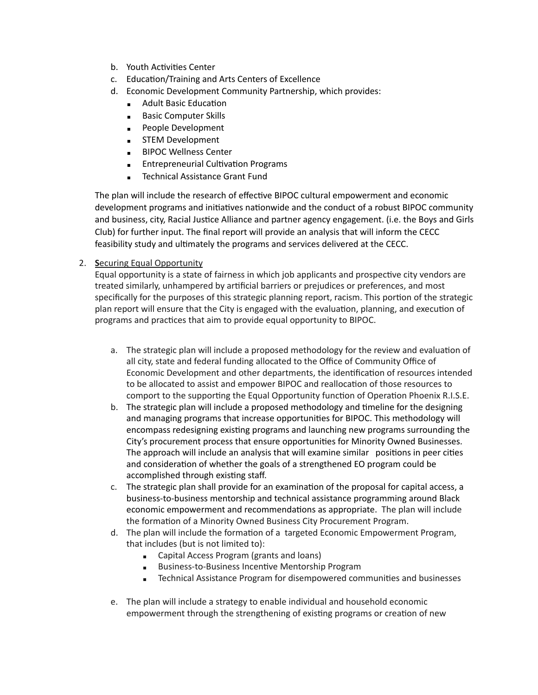- b. Youth Activities Center
- c. Education/Training and Arts Centers of Excellence
- d. Economic Development Community Partnership, which provides:
	- Adult Basic Education
	- Basic Computer Skills
	- People Development
	- **EXEM Development**
	- **BIPOC Wellness Center**
	- **Entrepreneurial Cultivation Programs**
	- **EXECUTE:** Technical Assistance Grant Fund

The plan will include the research of effective BIPOC cultural empowerment and economic development programs and initiatives nationwide and the conduct of a robust BIPOC community and business, city, Racial Justice Alliance and partner agency engagement. (i.e. the Boys and Girls Club) for further input. The final report will provide an analysis that will inform the CECC feasibility study and ultimately the programs and services delivered at the CECC.

2. **S**ecuring Equal Opportunity

Equal opportunity is a state of fairness in which job applicants and prospective city vendors are treated similarly, unhampered by artificial barriers or prejudices or preferences, and most specifically for the purposes of this strategic planning report, racism. This portion of the strategic plan report will ensure that the City is engaged with the evaluation, planning, and execution of programs and practices that aim to provide equal opportunity to BIPOC.

- a. The strategic plan will include a proposed methodology for the review and evaluation of all city, state and federal funding allocated to the Office of Community Office of Economic Development and other departments, the identification of resources intended to be allocated to assist and empower BIPOC and reallocation of those resources to comport to the supporting the Equal Opportunity function of Operation Phoenix R.I.S.E.
- b. The strategic plan will include a proposed methodology and timeline for the designing and managing programs that increase opportunities for BIPOC. This methodology will encompass redesigning existing programs and launching new programs surrounding the City's procurement process that ensure opportunities for Minority Owned Businesses. The approach will include an analysis that will examine similar positions in peer cities and consideration of whether the goals of a strengthened EO program could be accomplished through existing staff.
- c. The strategic plan shall provide for an examination of the proposal for capital access, a business-to-business mentorship and technical assistance programming around Black economic empowerment and recommendations as appropriate. The plan will include the formation of a Minority Owned Business City Procurement Program.
- d. The plan will include the formation of a targeted Economic Empowerment Program, that includes (but is not limited to):
	- Capital Access Program (grants and loans)
	- Business-to-Business Incentive Mentorship Program
	- Technical Assistance Program for disempowered communities and businesses
- e. The plan will include a strategy to enable individual and household economic empowerment through the strengthening of existing programs or creation of new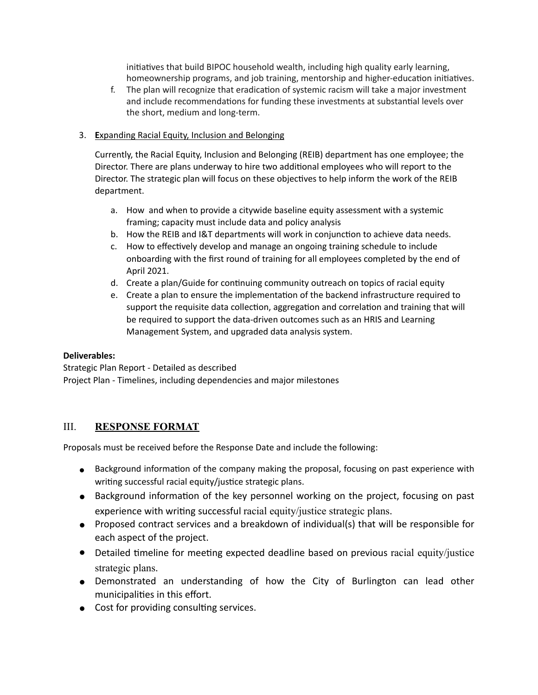initiatives that build BIPOC household wealth, including high quality early learning, homeownership programs, and job training, mentorship and higher-education initiatives.

f. The plan will recognize that eradication of systemic racism will take a major investment and include recommendations for funding these investments at substantial levels over the short, medium and long-term.

#### 3. **E**xpanding Racial Equity, Inclusion and Belonging

Currently, the Racial Equity, Inclusion and Belonging (REIB) department has one employee; the Director. There are plans underway to hire two additional employees who will report to the Director. The strategic plan will focus on these objectives to help inform the work of the REIB department.

- a. How and when to provide a citywide baseline equity assessment with a systemic framing; capacity must include data and policy analysis
- b. How the REIB and I&T departments will work in conjunction to achieve data needs.
- c. How to effectively develop and manage an ongoing training schedule to include onboarding with the first round of training for all employees completed by the end of April 2021.
- d. Create a plan/Guide for continuing community outreach on topics of racial equity
- e. Create a plan to ensure the implementation of the backend infrastructure required to support the requisite data collection, aggregation and correlation and training that will be required to support the data-driven outcomes such as an HRIS and Learning Management System, and upgraded data analysis system.

#### **Deliverables:**

Strategic Plan Report - Detailed as described Project Plan - Timelines, including dependencies and major milestones

#### III. **RESPONSE FORMAT**

Proposals must be received before the Response Date and include the following:

- Background information of the company making the proposal, focusing on past experience with writing successful racial equity/justice strategic plans.
- Background information of the key personnel working on the project, focusing on past experience with writing successful racial equity/justice strategic plans.
- Proposed contract services and a breakdown of individual(s) that will be responsible for each aspect of the project.
- Detailed timeline for meeting expected deadline based on previous racial equity/justice strategic plans.
- Demonstrated an understanding of how the City of Burlington can lead other municipalities in this effort.
- Cost for providing consulting services.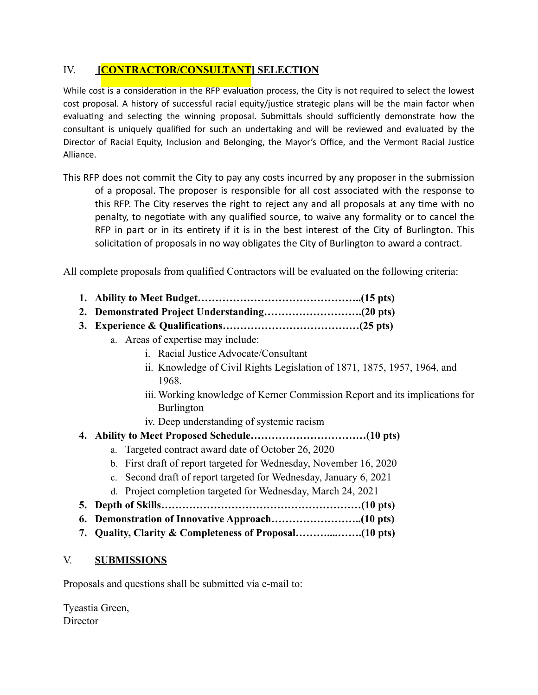## IV. **[CONTRACTOR/CONSULTANT] SELECTION**

While cost is a consideration in the RFP evaluation process, the City is not required to select the lowest cost proposal. A history of successful racial equity/justice strategic plans will be the main factor when evaluating and selecting the winning proposal. Submittals should sufficiently demonstrate how the consultant is uniquely qualified for such an undertaking and will be reviewed and evaluated by the Director of Racial Equity, Inclusion and Belonging, the Mayor's Office, and the Vermont Racial Justice Alliance.

This RFP does not commit the City to pay any costs incurred by any proposer in the submission of a proposal. The proposer is responsible for all cost associated with the response to this RFP. The City reserves the right to reject any and all proposals at any time with no penalty, to negotiate with any qualified source, to waive any formality or to cancel the RFP in part or in its entirety if it is in the best interest of the City of Burlington. This solicitation of proposals in no way obligates the City of Burlington to award a contract.

All complete proposals from qualified Contractors will be evaluated on the following criteria:

- **1. Ability to Meet Budget………………………………………..(15 pts)**
- **2. Demonstrated Project Understanding……………………….(20 pts)**
- **3. Experience & Qualifications…………………………………(25 pts)**
	- a. Areas of expertise may include:
		- i. Racial Justice Advocate/Consultant
		- ii. Knowledge of Civil Rights Legislation of 1871, 1875, 1957, 1964, and 1968.
		- iii. Working knowledge of Kerner Commission Report and its implications for Burlington
		- iv. Deep understanding of systemic racism
- **4. Ability to Meet Proposed Schedule……………………………(10 pts)**
	- a. Targeted contract award date of October 26, 2020
	- b. First draft of report targeted for Wednesday, November 16, 2020
	- c. Second draft of report targeted for Wednesday, January 6, 2021
	- d. Project completion targeted for Wednesday, March 24, 2021
- **5. Depth of Skills…………………………………………………(10 pts)**
- **6. Demonstration of Innovative Approach……………………..(10 pts)**
- **7. Quality, Clarity & Completeness of Proposal………....…….(10 pts)**

#### V. **SUBMISSIONS**

Proposals and questions shall be submitted via e-mail to:

Tyeastia Green, **Director**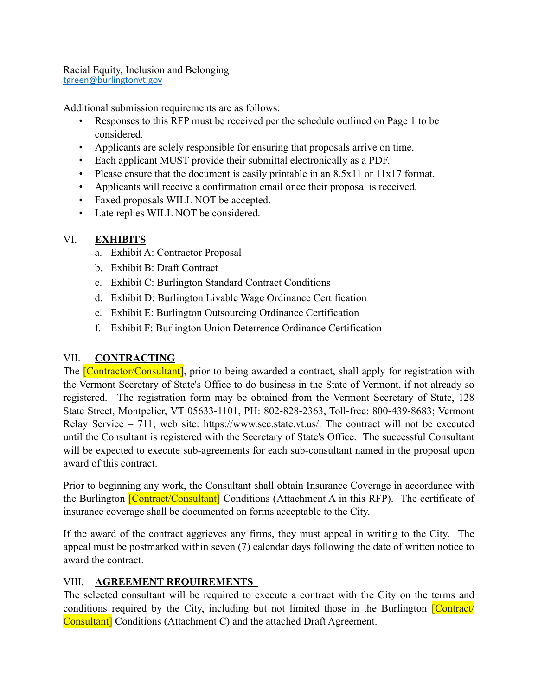Racial Equity, Inclusion and Belonging [tgreen@burlingtonvt.gov](mailto:tgreen@burlingtonvt.gov)

Additional submission requirements are as follows:

- Responses to this RFP must be received per the schedule outlined on Page 1 to be considered.
- Applicants are solely responsible for ensuring that proposals arrive on time.
- Each applicant MUST provide their submittal electronically as a PDF.
- Please ensure that the document is easily printable in an 8.5x11 or 11x17 format.
- Applicants will receive a confirmation email once their proposal is received.
- Faxed proposals WILL NOT be accepted.
- Late replies WILL NOT be considered.

## VI. **EXHIBITS**

- a. Exhibit A: Contractor Proposal
- b. Exhibit B: Draft Contract
- c. Exhibit C: Burlington Standard Contract Conditions
- d. Exhibit D: Burlington Livable Wage Ordinance Certification
- e. Exhibit E: Burlington Outsourcing Ordinance Certification
- f. Exhibit F: Burlington Union Deterrence Ordinance Certification

# VII. **CONTRACTING**

The **[Contractor/Consultant]**, prior to being awarded a contract, shall apply for registration with the Vermont Secretary of State's Office to do business in the State of Vermont, if not already so registered. The registration form may be obtained from the Vermont Secretary of State, 128 State Street, Montpelier, VT 05633-1101, PH: 802-828-2363, Toll-free: 800-439-8683; Vermont Relay Service – 711; web site: [https://www.sec.state.vt.us/.](https://www.sec.state.vt.us/) The contract will not be executed until the Consultant is registered with the Secretary of State's Office. The successful Consultant will be expected to execute sub-agreements for each sub-consultant named in the proposal upon award of this contract.

Prior to beginning any work, the Consultant shall obtain Insurance Coverage in accordance with the Burlington **[Contract/Consultant]** Conditions (Attachment A in this RFP). The certificate of insurance coverage shall be documented on forms acceptable to the City.

If the award of the contract aggrieves any firms, they must appeal in writing to the City. The appeal must be postmarked within seven (7) calendar days following the date of written notice to award the contract.

# VIII. **AGREEMENT REQUIREMENTS**

The selected consultant will be required to execute a contract with the City on the terms and conditions required by the City, including but not limited those in the Burlington **[Contract**/ Consultant] Conditions (Attachment C) and the attached Draft Agreement.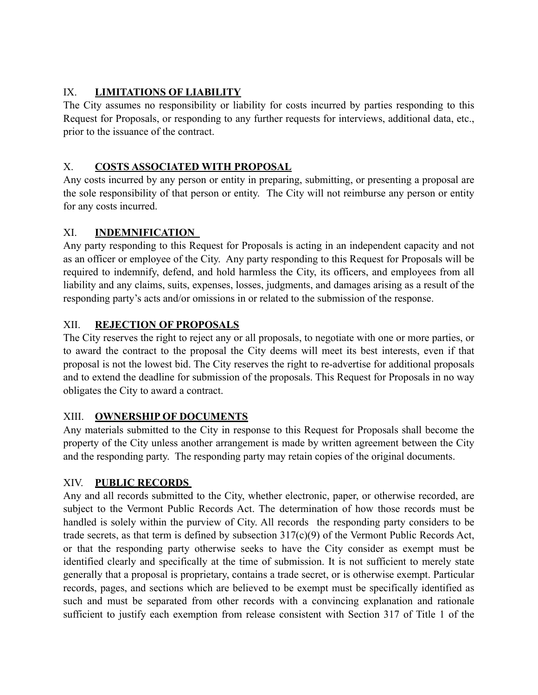## IX. **LIMITATIONS OF LIABILITY**

The City assumes no responsibility or liability for costs incurred by parties responding to this Request for Proposals, or responding to any further requests for interviews, additional data, etc., prior to the issuance of the contract.

# X. **COSTS ASSOCIATED WITH PROPOSAL**

Any costs incurred by any person or entity in preparing, submitting, or presenting a proposal are the sole responsibility of that person or entity. The City will not reimburse any person or entity for any costs incurred.

## XI. **INDEMNIFICATION**

Any party responding to this Request for Proposals is acting in an independent capacity and not as an officer or employee of the City. Any party responding to this Request for Proposals will be required to indemnify, defend, and hold harmless the City, its officers, and employees from all liability and any claims, suits, expenses, losses, judgments, and damages arising as a result of the responding party's acts and/or omissions in or related to the submission of the response.

# XII. **REJECTION OF PROPOSALS**

The City reserves the right to reject any or all proposals, to negotiate with one or more parties, or to award the contract to the proposal the City deems will meet its best interests, even if that proposal is not the lowest bid. The City reserves the right to re-advertise for additional proposals and to extend the deadline for submission of the proposals. This Request for Proposals in no way obligates the City to award a contract.

## XIII. **OWNERSHIP OF DOCUMENTS**

Any materials submitted to the City in response to this Request for Proposals shall become the property of the City unless another arrangement is made by written agreement between the City and the responding party. The responding party may retain copies of the original documents.

## XIV. **PUBLIC RECORDS**

Any and all records submitted to the City, whether electronic, paper, or otherwise recorded, are subject to the Vermont Public Records Act. The determination of how those records must be handled is solely within the purview of City. All records the responding party considers to be trade secrets, as that term is defined by subsection 317(c)(9) of the Vermont Public Records Act, or that the responding party otherwise seeks to have the City consider as exempt must be identified clearly and specifically at the time of submission. It is not sufficient to merely state generally that a proposal is proprietary, contains a trade secret, or is otherwise exempt. Particular records, pages, and sections which are believed to be exempt must be specifically identified as such and must be separated from other records with a convincing explanation and rationale sufficient to justify each exemption from release consistent with Section 317 of Title 1 of the